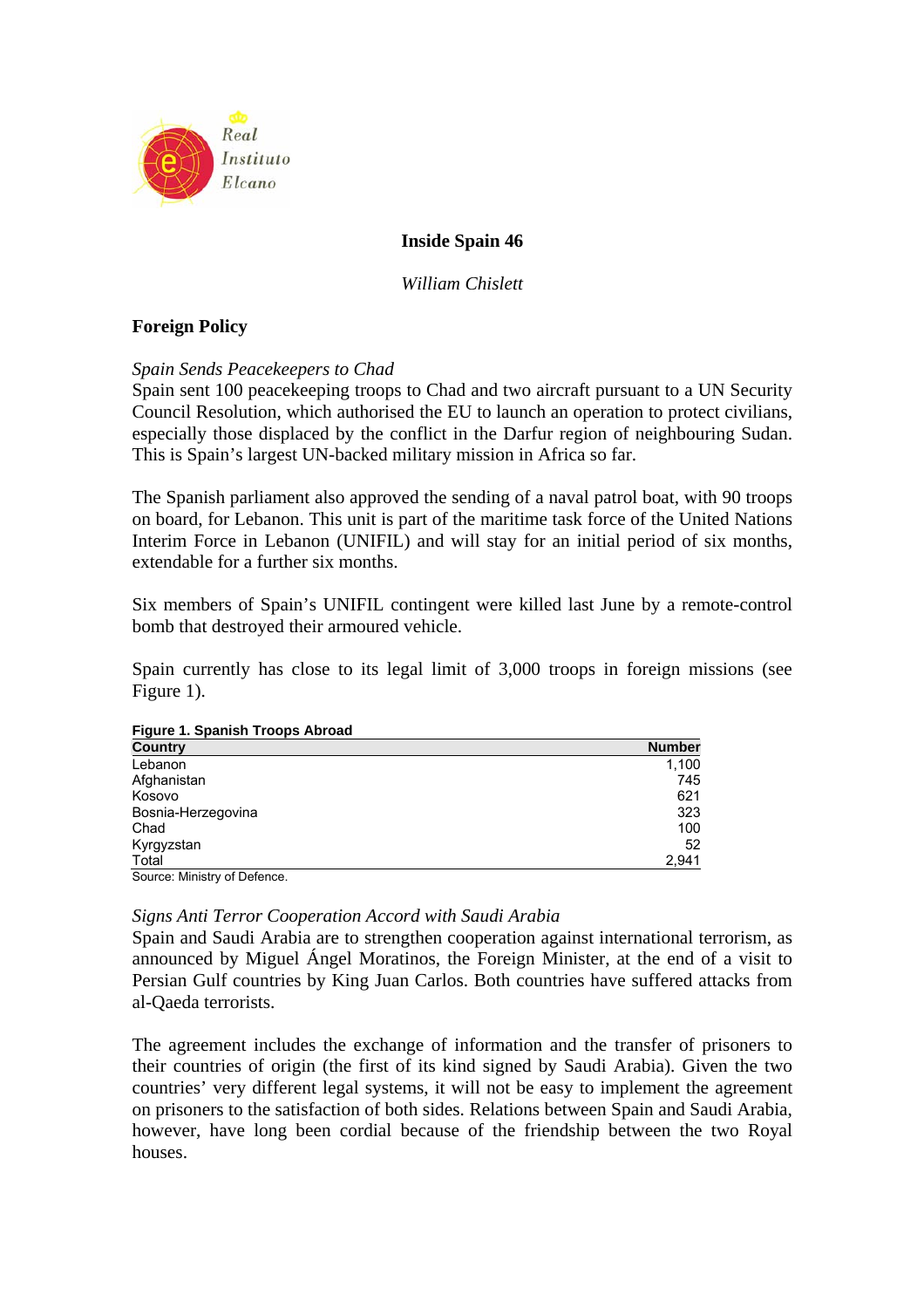

# **Inside Spain 46**

*William Chislett* 

# **Foreign Policy**

# *Spain Sends Peacekeepers to Chad*

Spain sent 100 peacekeeping troops to Chad and two aircraft pursuant to a UN Security Council Resolution, which authorised the EU to launch an operation to protect civilians, especially those displaced by the conflict in the Darfur region of neighbouring Sudan. This is Spain's largest UN-backed military mission in Africa so far.

The Spanish parliament also approved the sending of a naval patrol boat, with 90 troops on board, for Lebanon. This unit is part of the maritime task force of the United Nations Interim Force in Lebanon (UNIFIL) and will stay for an initial period of six months, extendable for a further six months.

Six members of Spain's UNIFIL contingent were killed last June by a remote-control bomb that destroyed their armoured vehicle.

Spain currently has close to its legal limit of 3,000 troops in foreign missions (see Figure 1).

### **Figure 1. Spanish Troops Abroad**

| Lebanon                                     | <b>Number</b> |
|---------------------------------------------|---------------|
| Afghanistan<br>Kosovo<br>Bosnia-Herzegovina | 1,100         |
|                                             | 745           |
|                                             | 621           |
|                                             | 323           |
| Chad                                        | 100           |
| Kyrgyzstan                                  | 52            |
| Total                                       | 2,941         |

Source: Ministry of Defence.

## *Signs Anti Terror Cooperation Accord with Saudi Arabia*

Spain and Saudi Arabia are to strengthen cooperation against international terrorism, as announced by Miguel Ángel Moratinos, the Foreign Minister, at the end of a visit to Persian Gulf countries by King Juan Carlos. Both countries have suffered attacks from al-Qaeda terrorists.

The agreement includes the exchange of information and the transfer of prisoners to their countries of origin (the first of its kind signed by Saudi Arabia). Given the two countries' very different legal systems, it will not be easy to implement the agreement on prisoners to the satisfaction of both sides. Relations between Spain and Saudi Arabia, however, have long been cordial because of the friendship between the two Royal houses.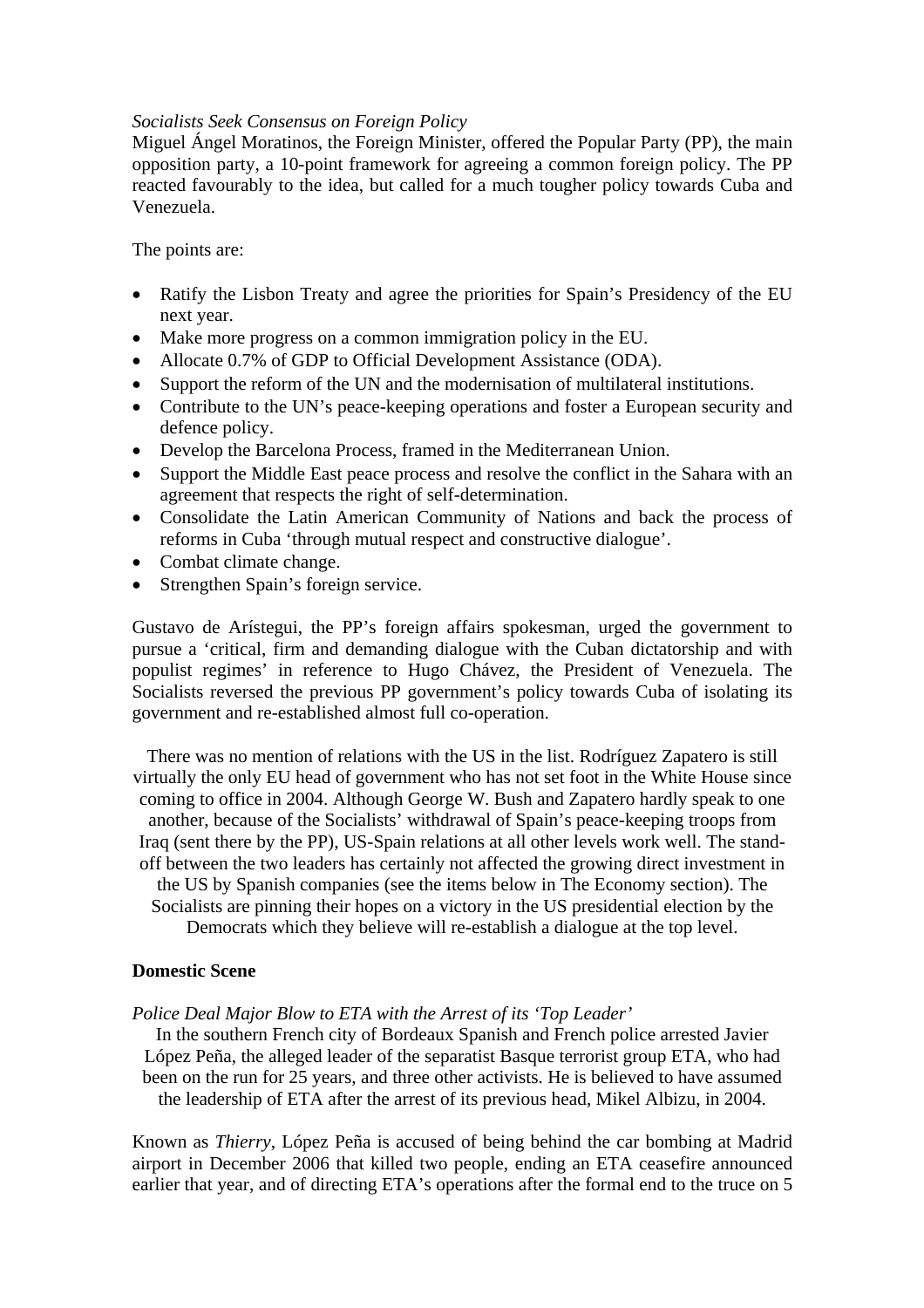## *Socialists Seek Consensus on Foreign Policy*

Miguel Ángel Moratinos, the Foreign Minister, offered the Popular Party (PP), the main opposition party, a 10-point framework for agreeing a common foreign policy. The PP reacted favourably to the idea, but called for a much tougher policy towards Cuba and Venezuela.

The points are:

- Ratify the Lisbon Treaty and agree the priorities for Spain's Presidency of the EU next year.
- Make more progress on a common immigration policy in the EU.
- Allocate 0.7% of GDP to Official Development Assistance (ODA).
- Support the reform of the UN and the modernisation of multilateral institutions.
- Contribute to the UN's peace-keeping operations and foster a European security and defence policy.
- Develop the Barcelona Process, framed in the Mediterranean Union.
- Support the Middle East peace process and resolve the conflict in the Sahara with an agreement that respects the right of self-determination.
- Consolidate the Latin American Community of Nations and back the process of reforms in Cuba 'through mutual respect and constructive dialogue'.
- Combat climate change.
- Strengthen Spain's foreign service.

Gustavo de Arístegui, the PP's foreign affairs spokesman, urged the government to pursue a 'critical, firm and demanding dialogue with the Cuban dictatorship and with populist regimes' in reference to Hugo Chávez, the President of Venezuela. The Socialists reversed the previous PP government's policy towards Cuba of isolating its government and re-established almost full co-operation.

There was no mention of relations with the US in the list. Rodríguez Zapatero is still virtually the only EU head of government who has not set foot in the White House since coming to office in 2004. Although George W. Bush and Zapatero hardly speak to one another, because of the Socialists' withdrawal of Spain's peace-keeping troops from Iraq (sent there by the PP), US-Spain relations at all other levels work well. The standoff between the two leaders has certainly not affected the growing direct investment in the US by Spanish companies (see the items below in The Economy section). The Socialists are pinning their hopes on a victory in the US presidential election by the Democrats which they believe will re-establish a dialogue at the top level.

## **Domestic Scene**

### *Police Deal Major Blow to ETA with the Arrest of its 'Top Leader'*

In the southern French city of Bordeaux Spanish and French police arrested Javier López Peña, the alleged leader of the separatist Basque terrorist group ETA, who had been on the run for 25 years, and three other activists. He is believed to have assumed the leadership of ETA after the arrest of its previous head, Mikel Albizu, in 2004.

Known as *Thierry*, López Peña is accused of being behind the car bombing at Madrid airport in December 2006 that killed two people, ending an ETA ceasefire announced earlier that year, and of directing ETA's operations after the formal end to the truce on 5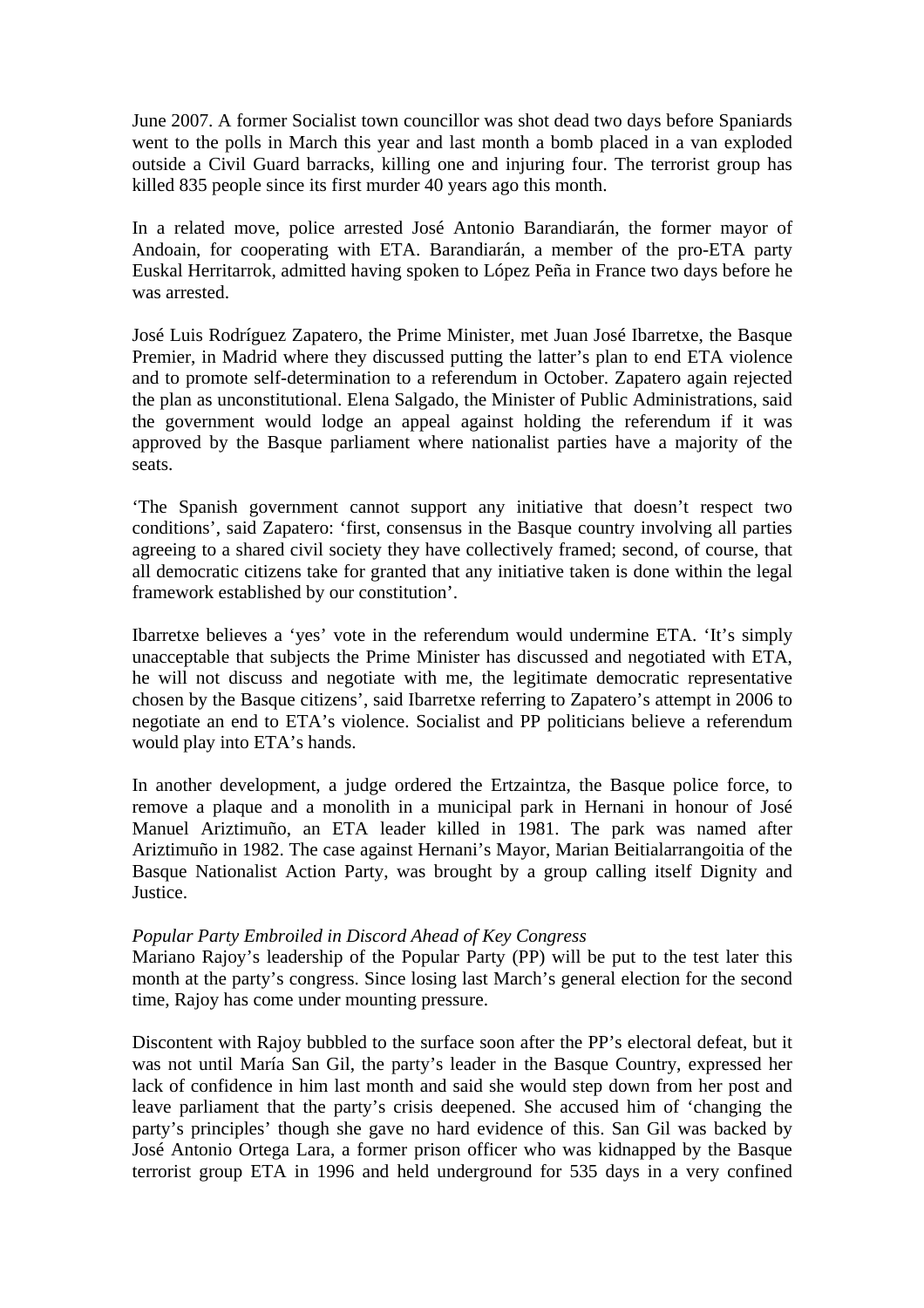June 2007. A former Socialist town councillor was shot dead two days before Spaniards went to the polls in March this year and last month a bomb placed in a van exploded outside a Civil Guard barracks, killing one and injuring four. The terrorist group has killed 835 people since its first murder 40 years ago this month.

In a related move, police arrested José Antonio Barandiarán, the former mayor of Andoain, for cooperating with ETA. Barandiarán, a member of the pro-ETA party Euskal Herritarrok, admitted having spoken to López Peña in France two days before he was arrested.

José Luis Rodríguez Zapatero, the Prime Minister, met Juan José Ibarretxe, the Basque Premier, in Madrid where they discussed putting the latter's plan to end ETA violence and to promote self-determination to a referendum in October. Zapatero again rejected the plan as unconstitutional. Elena Salgado, the Minister of Public Administrations, said the government would lodge an appeal against holding the referendum if it was approved by the Basque parliament where nationalist parties have a majority of the seats.

'The Spanish government cannot support any initiative that doesn't respect two conditions', said Zapatero: 'first, consensus in the Basque country involving all parties agreeing to a shared civil society they have collectively framed; second, of course, that all democratic citizens take for granted that any initiative taken is done within the legal framework established by our constitution'.

Ibarretxe believes a 'yes' vote in the referendum would undermine ETA. 'It's simply unacceptable that subjects the Prime Minister has discussed and negotiated with ETA, he will not discuss and negotiate with me, the legitimate democratic representative chosen by the Basque citizens', said Ibarretxe referring to Zapatero's attempt in 2006 to negotiate an end to ETA's violence. Socialist and PP politicians believe a referendum would play into ETA's hands.

In another development, a judge ordered the Ertzaintza, the Basque police force, to remove a plaque and a monolith in a municipal park in Hernani in honour of José Manuel Ariztimuño, an ETA leader killed in 1981. The park was named after Ariztimuño in 1982. The case against Hernani's Mayor, Marian Beitialarrangoitia of the Basque Nationalist Action Party, was brought by a group calling itself Dignity and Justice.

# *Popular Party Embroiled in Discord Ahead of Key Congress*

Mariano Rajoy's leadership of the Popular Party (PP) will be put to the test later this month at the party's congress. Since losing last March's general election for the second time, Rajoy has come under mounting pressure.

Discontent with Rajoy bubbled to the surface soon after the PP's electoral defeat, but it was not until María San Gil, the party's leader in the Basque Country, expressed her lack of confidence in him last month and said she would step down from her post and leave parliament that the party's crisis deepened. She accused him of 'changing the party's principles' though she gave no hard evidence of this. San Gil was backed by José Antonio Ortega Lara, a former prison officer who was kidnapped by the Basque terrorist group ETA in 1996 and held underground for 535 days in a very confined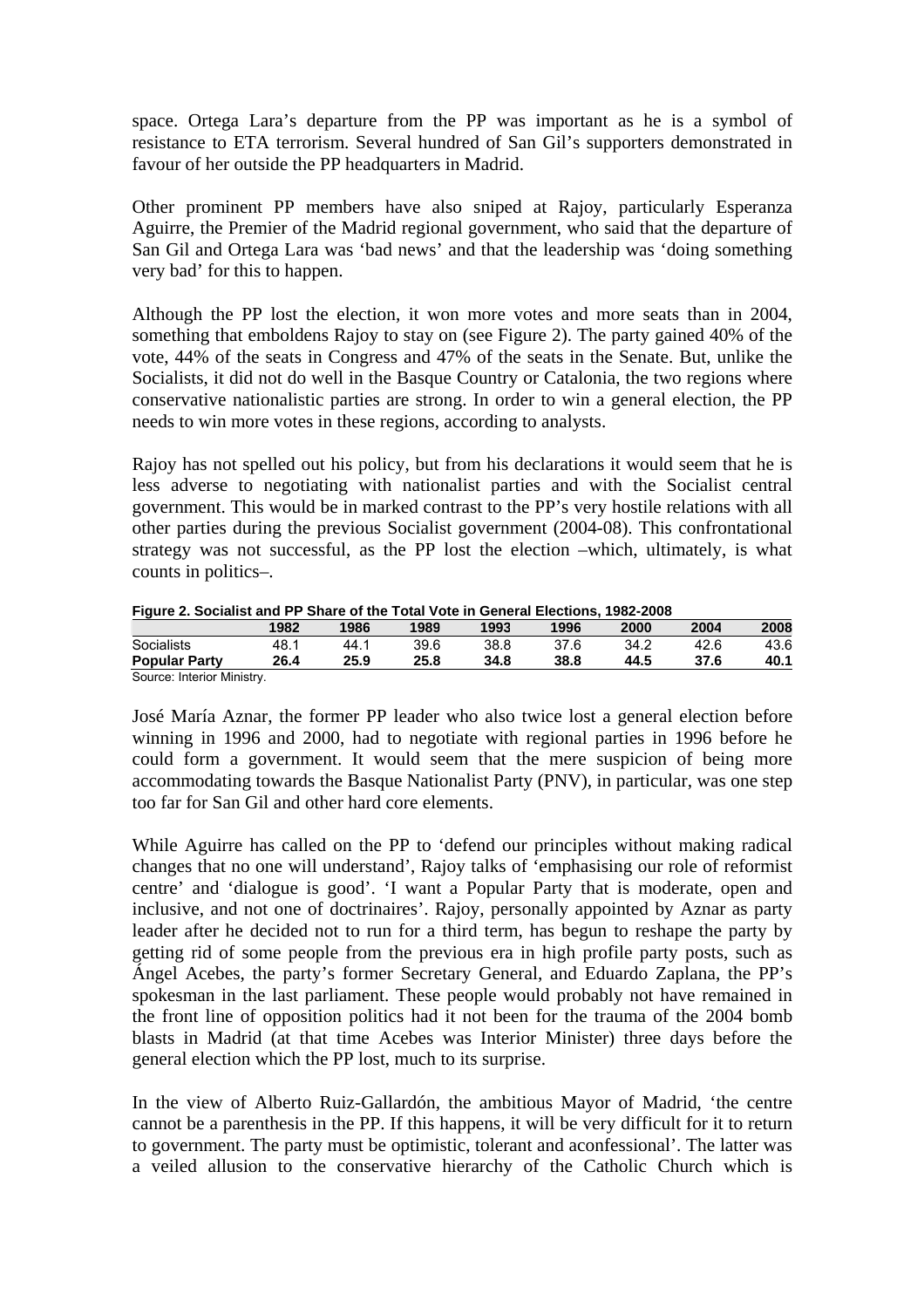space. Ortega Lara's departure from the PP was important as he is a symbol of resistance to ETA terrorism. Several hundred of San Gil's supporters demonstrated in favour of her outside the PP headquarters in Madrid.

Other prominent PP members have also sniped at Rajoy, particularly Esperanza Aguirre, the Premier of the Madrid regional government, who said that the departure of San Gil and Ortega Lara was 'bad news' and that the leadership was 'doing something very bad' for this to happen.

Although the PP lost the election, it won more votes and more seats than in 2004, something that emboldens Rajoy to stay on (see Figure 2). The party gained 40% of the vote, 44% of the seats in Congress and 47% of the seats in the Senate. But, unlike the Socialists, it did not do well in the Basque Country or Catalonia, the two regions where conservative nationalistic parties are strong. In order to win a general election, the PP needs to win more votes in these regions, according to analysts.

Rajoy has not spelled out his policy, but from his declarations it would seem that he is less adverse to negotiating with nationalist parties and with the Socialist central government. This would be in marked contrast to the PP's very hostile relations with all other parties during the previous Socialist government (2004-08). This confrontational strategy was not successful, as the PP lost the election –which, ultimately, is what counts in politics–.

| Figure 2. Socialist and PP Share of the Total Vote in General Elections, 1962-2006 |      |      |      |      |      |      |      |      |
|------------------------------------------------------------------------------------|------|------|------|------|------|------|------|------|
|                                                                                    | 1982 | 1986 | 1989 | 1993 | 1996 | 2000 | 2004 | 2008 |
| Socialists                                                                         | 48.1 | 44 1 | 39.6 | 38.8 | 37.6 | 34.2 | 42.6 | 43.6 |
| <b>Popular Party</b>                                                               | 26.4 | 25.9 | 25.8 | 34.8 | 38.8 | 44.5 | 37.6 | 40.1 |

|  |  | Figure 2. Socialist and PP Share of the Total Vote in General Elections, 1982-2008 |  |  |
|--|--|------------------------------------------------------------------------------------|--|--|

Source: Interior Ministry.

José María Aznar, the former PP leader who also twice lost a general election before winning in 1996 and 2000, had to negotiate with regional parties in 1996 before he could form a government. It would seem that the mere suspicion of being more accommodating towards the Basque Nationalist Party (PNV), in particular, was one step too far for San Gil and other hard core elements.

While Aguirre has called on the PP to 'defend our principles without making radical changes that no one will understand', Rajoy talks of 'emphasising our role of reformist centre' and 'dialogue is good'. 'I want a Popular Party that is moderate, open and inclusive, and not one of doctrinaires'. Rajoy, personally appointed by Aznar as party leader after he decided not to run for a third term, has begun to reshape the party by getting rid of some people from the previous era in high profile party posts, such as Ángel Acebes, the party's former Secretary General, and Eduardo Zaplana, the PP's spokesman in the last parliament. These people would probably not have remained in the front line of opposition politics had it not been for the trauma of the 2004 bomb blasts in Madrid (at that time Acebes was Interior Minister) three days before the general election which the PP lost, much to its surprise.

In the view of Alberto Ruiz-Gallardón, the ambitious Mayor of Madrid, 'the centre cannot be a parenthesis in the PP. If this happens, it will be very difficult for it to return to government. The party must be optimistic, tolerant and aconfessional'. The latter was a veiled allusion to the conservative hierarchy of the Catholic Church which is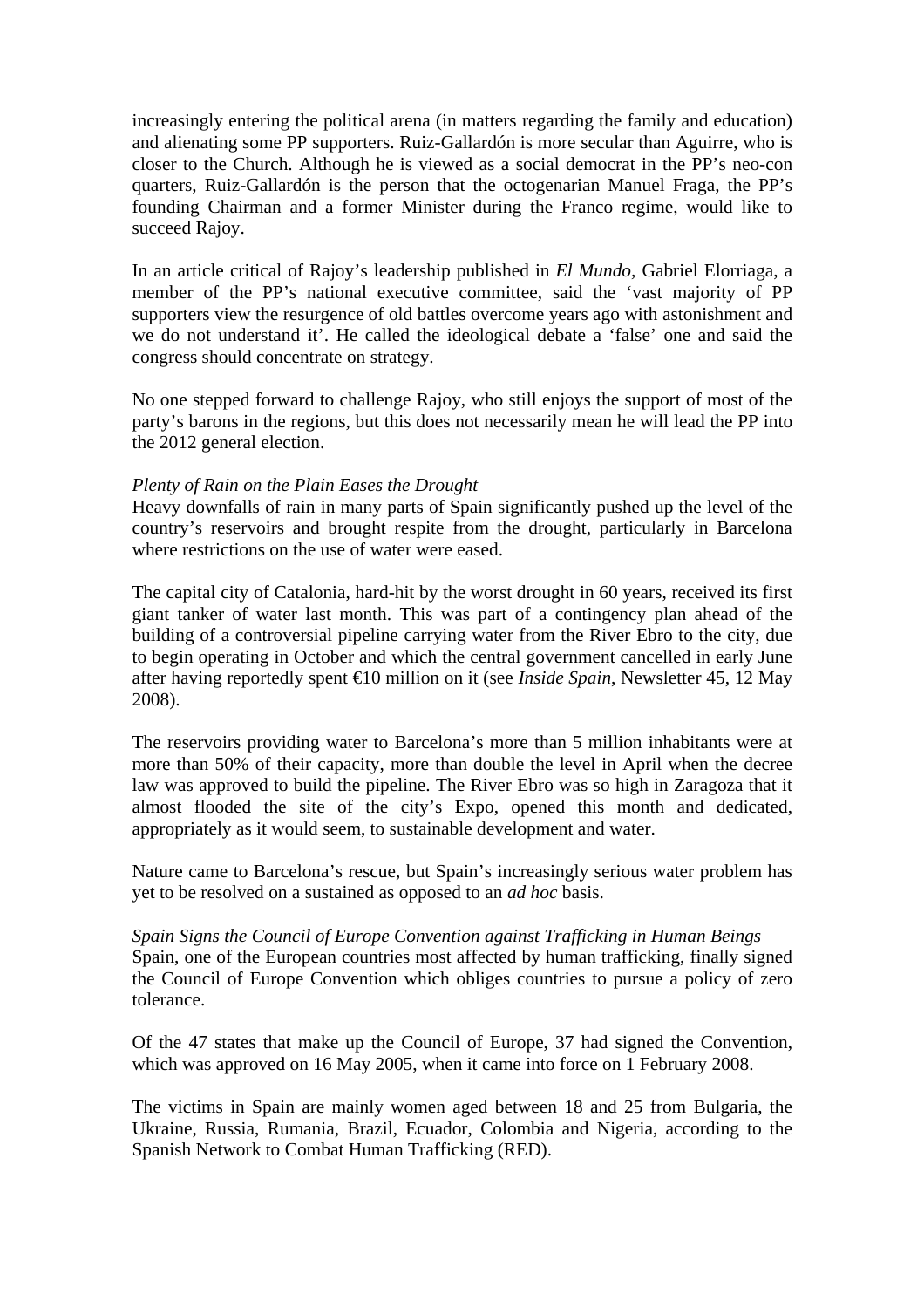increasingly entering the political arena (in matters regarding the family and education) and alienating some PP supporters. Ruiz-Gallardón is more secular than Aguirre, who is closer to the Church. Although he is viewed as a social democrat in the PP's neo-con quarters, Ruiz-Gallardón is the person that the octogenarian Manuel Fraga, the PP's founding Chairman and a former Minister during the Franco regime, would like to succeed Rajoy.

In an article critical of Rajoy's leadership published in *El Mundo,* Gabriel Elorriaga, a member of the PP's national executive committee, said the 'vast majority of PP supporters view the resurgence of old battles overcome years ago with astonishment and we do not understand it'. He called the ideological debate a 'false' one and said the congress should concentrate on strategy.

No one stepped forward to challenge Rajoy, who still enjoys the support of most of the party's barons in the regions, but this does not necessarily mean he will lead the PP into the 2012 general election.

# *Plenty of Rain on the Plain Eases the Drought*

Heavy downfalls of rain in many parts of Spain significantly pushed up the level of the country's reservoirs and brought respite from the drought, particularly in Barcelona where restrictions on the use of water were eased.

The capital city of Catalonia, hard-hit by the worst drought in 60 years, received its first giant tanker of water last month. This was part of a contingency plan ahead of the building of a controversial pipeline carrying water from the River Ebro to the city, due to begin operating in October and which the central government cancelled in early June after having reportedly spent €10 million on it (see *Inside Spain*, Newsletter 45, 12 May 2008).

The reservoirs providing water to Barcelona's more than 5 million inhabitants were at more than 50% of their capacity, more than double the level in April when the decree law was approved to build the pipeline. The River Ebro was so high in Zaragoza that it almost flooded the site of the city's Expo, opened this month and dedicated, appropriately as it would seem, to sustainable development and water.

Nature came to Barcelona's rescue, but Spain's increasingly serious water problem has yet to be resolved on a sustained as opposed to an *ad hoc* basis.

*Spain Signs the Council of Europe Convention against Trafficking in Human Beings*  Spain, one of the European countries most affected by human trafficking, finally signed the Council of Europe Convention which obliges countries to pursue a policy of zero tolerance.

Of the 47 states that make up the Council of Europe, 37 had signed the Convention, which was approved on 16 May 2005, when it came into force on 1 February 2008.

The victims in Spain are mainly women aged between 18 and 25 from Bulgaria, the Ukraine, Russia, Rumania, Brazil, Ecuador, Colombia and Nigeria, according to the Spanish Network to Combat Human Trafficking (RED).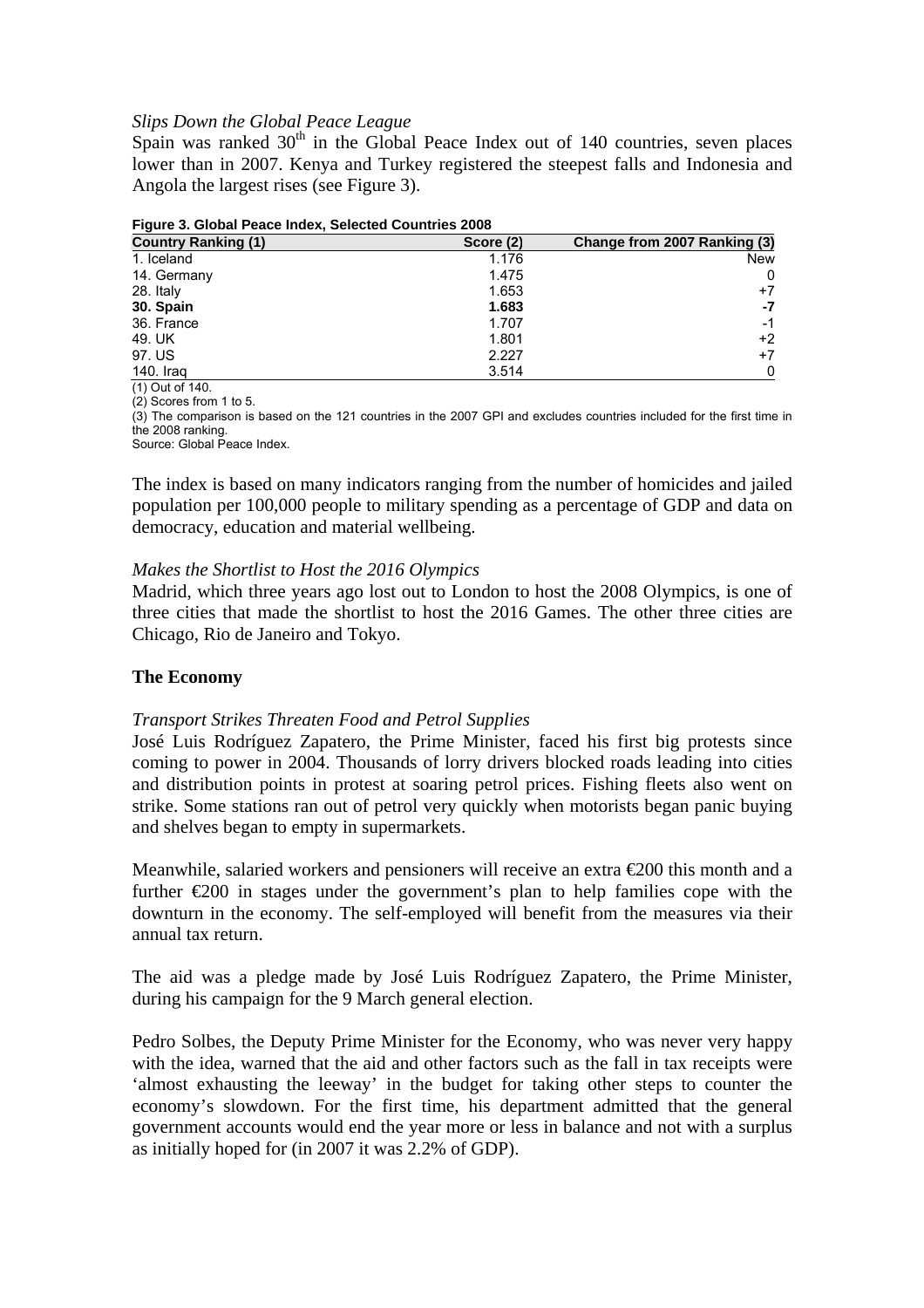### *Slips Down the Global Peace League*

Spain was ranked  $30<sup>th</sup>$  in the Global Peace Index out of 140 countries, seven places lower than in 2007. Kenya and Turkey registered the steepest falls and Indonesia and Angola the largest rises (see Figure 3).

| , ,qu; o o; o;oxu; ; ouoo ;;;uo/;; oo;oo;ou oou;;;;;oo mooo |           |                              |  |  |
|-------------------------------------------------------------|-----------|------------------------------|--|--|
| <b>Country Ranking (1)</b>                                  | Score (2) | Change from 2007 Ranking (3) |  |  |
| 1. Iceland                                                  | 1.176     | New                          |  |  |
| 14. Germany                                                 | 1.475     | 0                            |  |  |
| 28. Italy                                                   | 1.653     | $+7$                         |  |  |
| 30. Spain                                                   | 1.683     | -7                           |  |  |
| 36. France                                                  | 1.707     | $-1$                         |  |  |
| 49. UK                                                      | 1.801     | $+2$                         |  |  |
| 97. US                                                      | 2.227     | $+7$                         |  |  |
| 140. Iraq                                                   | 3.514     | 0                            |  |  |

**Figure 3. Global Peace Index, Selected Countries 2008** 

(1) Out of 140.

 $(2)$  Scores from 1 to 5.

(3) The comparison is based on the 121 countries in the 2007 GPI and excludes countries included for the first time in the 2008 ranking.

Source: Global Peace Index.

The index is based on many indicators ranging from the number of homicides and jailed population per 100,000 people to military spending as a percentage of GDP and data on democracy, education and material wellbeing.

### *Makes the Shortlist to Host the 2016 Olympics*

Madrid, which three years ago lost out to London to host the 2008 Olympics, is one of three cities that made the shortlist to host the 2016 Games. The other three cities are Chicago, Rio de Janeiro and Tokyo.

## **The Economy**

### *Transport Strikes Threaten Food and Petrol Supplies*

José Luis Rodríguez Zapatero, the Prime Minister, faced his first big protests since coming to power in 2004. Thousands of lorry drivers blocked roads leading into cities and distribution points in protest at soaring petrol prices. Fishing fleets also went on strike. Some stations ran out of petrol very quickly when motorists began panic buying and shelves began to empty in supermarkets.

Meanwhile, salaried workers and pensioners will receive an extra €200 this month and a further  $\epsilon$ 200 in stages under the government's plan to help families cope with the downturn in the economy. The self-employed will benefit from the measures via their annual tax return.

The aid was a pledge made by José Luis Rodríguez Zapatero, the Prime Minister, during his campaign for the 9 March general election.

Pedro Solbes, the Deputy Prime Minister for the Economy, who was never very happy with the idea, warned that the aid and other factors such as the fall in tax receipts were 'almost exhausting the leeway' in the budget for taking other steps to counter the economy's slowdown. For the first time, his department admitted that the general government accounts would end the year more or less in balance and not with a surplus as initially hoped for (in 2007 it was 2.2% of GDP).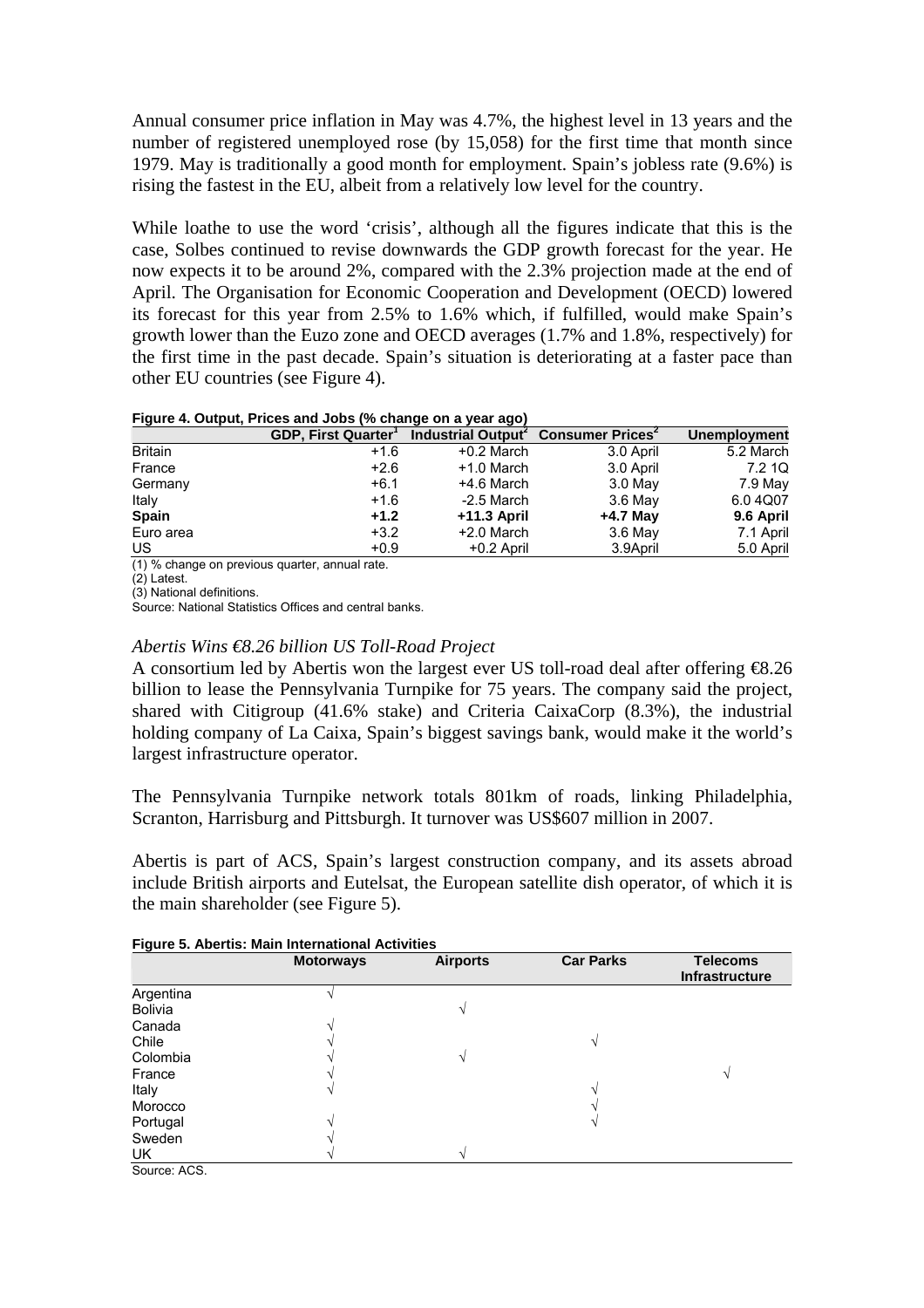Annual consumer price inflation in May was 4.7%, the highest level in 13 years and the number of registered unemployed rose (by 15,058) for the first time that month since 1979. May is traditionally a good month for employment. Spain's jobless rate (9.6%) is rising the fastest in the EU, albeit from a relatively low level for the country.

While loathe to use the word 'crisis', although all the figures indicate that this is the case, Solbes continued to revise downwards the GDP growth forecast for the year. He now expects it to be around 2%, compared with the 2.3% projection made at the end of April. The Organisation for Economic Cooperation and Development (OECD) lowered its forecast for this year from 2.5% to 1.6% which, if fulfilled, would make Spain's growth lower than the Euzo zone and OECD averages (1.7% and 1.8%, respectively) for the first time in the past decade. Spain's situation is deteriorating at a faster pace than other EU countries (see Figure 4).

**Figure 4. Output, Prices and Jobs (% change on a year ago)** 

|                | GDP, First Quarter <sup>1</sup> Industrial Output <sup>2</sup> Consumer Prices <sup>2</sup> |               |            | Unemployment |
|----------------|---------------------------------------------------------------------------------------------|---------------|------------|--------------|
| <b>Britain</b> | $+1.6$                                                                                      | $+0.2$ March  | 3.0 April  | 5.2 March    |
| France         | $+2.6$                                                                                      | $+1.0$ March  | 3.0 April  | 7.2 1Q       |
| Germany        | $+6.1$                                                                                      | +4.6 March    | 3.0 May    | 7.9 May      |
| Italy          | $+1.6$                                                                                      | $-2.5$ March  | 3.6 May    | 6.04Q07      |
| <b>Spain</b>   | $+1.2$                                                                                      | $+11.3$ April | $+4.7$ May | 9.6 April    |
| Euro area      | $+3.2$                                                                                      | $+2.0$ March  | 3.6 May    | 7.1 April    |
| US             | $+0.9$                                                                                      | $+0.2$ April  | 3.9April   | 5.0 April    |

(1) % change on previous quarter, annual rate.

 $(2)$  Latest.

(3) National definitions.

Source: National Statistics Offices and central banks.

## *Abertis Wins €8.26 billion US Toll-Road Project*

A consortium led by Abertis won the largest ever US toll-road deal after offering €8.26 billion to lease the Pennsylvania Turnpike for 75 years. The company said the project, shared with Citigroup (41.6% stake) and Criteria CaixaCorp (8.3%), the industrial holding company of La Caixa, Spain's biggest savings bank, would make it the world's largest infrastructure operator.

The Pennsylvania Turnpike network totals 801km of roads, linking Philadelphia, Scranton, Harrisburg and Pittsburgh. It turnover was US\$607 million in 2007.

Abertis is part of ACS, Spain's largest construction company, and its assets abroad include British airports and Eutelsat, the European satellite dish operator, of which it is the main shareholder (see Figure 5).

|                | <b>Motorways</b> | <b>Airports</b> | <b>Car Parks</b> | <b>Telecoms</b><br>Infrastructure |
|----------------|------------------|-----------------|------------------|-----------------------------------|
| Argentina      |                  |                 |                  |                                   |
| <b>Bolivia</b> |                  |                 |                  |                                   |
| Canada         |                  |                 |                  |                                   |
| Chile          |                  |                 |                  |                                   |
| Colombia       |                  |                 |                  |                                   |
| France         |                  |                 |                  |                                   |
| Italy          |                  |                 |                  |                                   |
| Morocco        |                  |                 |                  |                                   |
| Portugal       |                  |                 |                  |                                   |
| Sweden         |                  |                 |                  |                                   |
| UK             |                  |                 |                  |                                   |
|                |                  |                 |                  |                                   |

### **Figure 5. Abertis: Main International Activities**

Source: ACS.